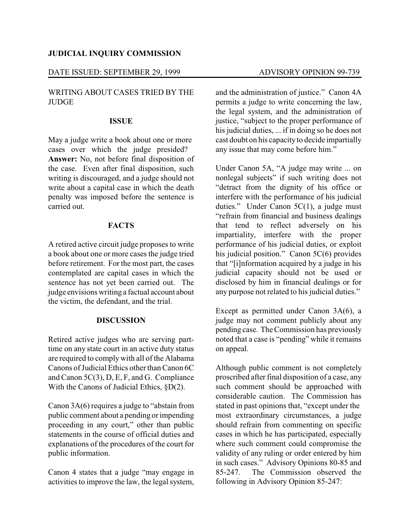## **JUDICIAL INQUIRY COMMISSION**

### DATE ISSUED: SEPTEMBER 29, 1999 ADVISORY OPINION 99-739

# WRITING ABOUT CASES TRIED BY THE **JUDGE**

#### **ISSUE**

May a judge write a book about one or more cases over which the judge presided? **Answer:** No, not before final disposition of the case. Even after final disposition, such writing is discouraged, and a judge should not write about a capital case in which the death penalty was imposed before the sentence is carried out.

# **FACTS**

A retired active circuit judge proposes to write a book about one or more cases the judge tried before retirement. For the most part, the cases contemplated are capital cases in which the sentence has not yet been carried out. The judge envisions writing a factual account about the victim, the defendant, and the trial.

## **DISCUSSION**

Retired active judges who are serving parttime on any state court in an active duty status are required to comply with all of the Alabama Canons of Judicial Ethics other than Canon 6C and Canon 5C(3), D, E, F, and G. Compliance With the Canons of Judicial Ethics, §D(2).

Canon 3A(6) requires a judge to "abstain from public comment about a pending or impending proceeding in any court," other than public statements in the course of official duties and explanations of the procedures of the court for public information.

Canon 4 states that a judge "may engage in activities to improve the law, the legal system,

and the administration of justice." Canon 4A permits a judge to write concerning the law, the legal system, and the administration of justice, "subject to the proper performance of his judicial duties, ... if in doing so he does not cast doubt on his capacity to decide impartially any issue that may come before him."

Under Canon 5A, "A judge may write ... on nonlegal subjects" if such writing does not "detract from the dignity of his office or interfere with the performance of his judicial duties." Under Canon 5C(1), a judge must "refrain from financial and business dealings that tend to reflect adversely on his impartiality, interfere with the proper performance of his judicial duties, or exploit his judicial position." Canon 5C(6) provides that "[i]nformation acquired by a judge in his judicial capacity should not be used or disclosed by him in financial dealings or for any purpose not related to his judicial duties."

Except as permitted under Canon 3A(6), a judge may not comment publicly about any pending case. The Commission has previously noted that a case is "pending" while it remains on appeal.

Although public comment is not completely proscribed after final disposition of a case, any such comment should be approached with considerable caution. The Commission has stated in past opinions that, "except under the most extraordinary circumstances, a judge should refrain from commenting on specific cases in which he has participated, especially where such comment could compromise the validity of any ruling or order entered by him in such cases." Advisory Opinions 80-85 and 85-247. The Commission observed the following in Advisory Opinion 85-247: